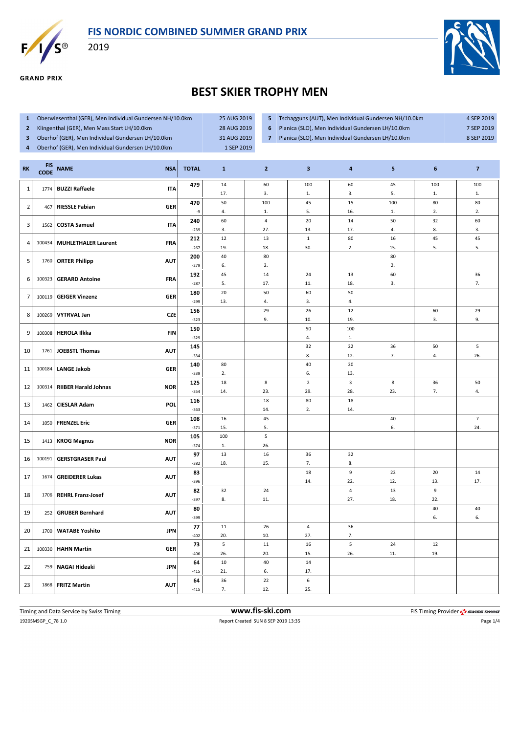



**GRAND PRIX** 

2019



## **BEST SKIER TROPHY MEN**

- **1** Oberwiesenthal (GER), Men Individual Gundersen NH/10.0km 25 AUG 2019
- **2** Klingenthal (GER), Men Mass Start LH/10.0km 28 AUG 2019
- **3** Oberhof (GER), Men Individual Gundersen LH/10.0km 31 AUG 2019
- **4** Oberhof (GER), Men Individual Gundersen LH/10.0km 1 SEP 2019
- **5** Tschagguns (AUT), Men Individual Gundersen NH/10.0km 4 SEP 2019
- 
- 
- **6** Planica (SLO), Men Individual Gundersen LH/10.0km 7 SEP 2019
- **7** Planica (SLO), Men Individual Gundersen LH/10.0km 8 SEP 2019

| 479<br>$14\,$<br>100<br>60<br>100<br>100<br>60<br>45<br><b>BUZZI Raffaele</b><br><b>ITA</b><br>$\mathbf{1}$<br>1774<br>17.<br>3.<br>3.<br>5.<br>1.<br>1.<br>1.<br>50<br>80<br>80<br>470<br>100<br>45<br>15<br>100<br>$\overline{2}$<br><b>RIESSLE Fabian</b><br>GER<br>467<br>2.<br>-9<br>4.<br>1.<br>5.<br>16.<br>1.<br>2.<br>60<br>$\overline{4}$<br>14<br>32<br>60<br>240<br>20<br>50<br>$\overline{\mathbf{3}}$<br><b>COSTA Samuel</b><br><b>ITA</b><br>1562<br>$-239$<br>3.<br>27.<br>13.<br>17.<br>4.<br>8.<br>3.<br>12<br>$\mathbf 1$<br>80<br>45<br>45<br>212<br>13<br>16<br><b>MUHLETHALER Laurent</b><br>4<br>100434<br>FRA<br>5.<br>5.<br>$-267$<br>19.<br>18.<br>30.<br>2.<br>15.<br>40<br>80<br>80<br>200<br>5<br>1760<br><b>ORTER Philipp</b><br><b>AUT</b><br>$-279$<br>6.<br>2.<br>2.<br>45<br>36<br>14<br>24<br>13<br>60<br>192<br>6<br>100323<br><b>GERARD Antoine</b><br><b>FRA</b><br>7.<br>5.<br>$-287$<br>17.<br>11.<br>18.<br>3.<br>180<br>20<br>50<br>50<br>60<br>$\overline{7}$<br>100119<br><b>GEIGER Vinzenz</b><br><b>GER</b><br>13.<br>4.<br>3.<br>$-299$<br>4.<br>12<br>156<br>29<br>26<br>60<br>29<br><b>VYTRVAL Jan</b><br>8<br>100269<br><b>CZE</b><br>9.<br>9.<br>10.<br>19.<br>3.<br>$-323$<br>150<br>50<br>100<br>9<br>100308<br><b>HEROLA Ilkka</b><br><b>FIN</b><br>$-329$<br>4.<br>1.<br>$\sqrt{5}$<br>145<br>32<br>22<br>50<br>36<br>10<br><b>JOEBSTL Thomas</b><br><b>AUT</b><br>1761<br>4.<br>26.<br>8.<br>12.<br>7.<br>$-334$<br>20<br>140<br>80<br>40<br><b>LANGE Jakob</b><br>11<br>100184<br>GER<br>2.<br>6.<br>13.<br>$-339$<br>$\overline{2}$<br>125<br>18<br>8<br>$\mathbf{3}$<br>8<br>36<br>50<br><b>RIIBER Harald Johnas</b><br><b>NOR</b><br>12<br>100314<br>29.<br>28.<br>23.<br>7.<br>4.<br>$-354$<br>14.<br>23.<br>18<br>18<br>80<br>116<br>13<br>1462<br><b>CIESLAR Adam</b><br>POL<br>$-363$<br>14.<br>2.<br>14.<br>$\overline{7}$<br>45<br>108<br>16<br>$40\,$<br>1050<br><b>FRENZEL Eric</b><br><b>GER</b><br>14<br>5.<br>$-371$<br>15.<br>6.<br>24.<br>5<br>100<br>105<br>15<br>1413<br><b>KROG Magnus</b><br><b>NOR</b><br>26.<br>$-374$<br>1.<br>97<br>13<br>36<br>32<br>16<br>100191<br>AUT<br>16<br><b>GERSTGRASER Paul</b><br>18.<br>15.<br>7.<br>$-382$<br>8.<br>9<br>83<br>18<br>20<br>$14\,$<br>22<br><b>GREIDERER Lukas</b><br>17<br>1674<br><b>AUT</b><br>17.<br>$-396$<br>14.<br>22.<br>12.<br>13.<br>$\pmb{4}$<br>9<br>82<br>32<br>13<br>24<br>18<br>1706<br><b>REHRL Franz-Josef</b><br><b>AUT</b><br>8.<br>27.<br>22.<br>$-397$<br>11.<br>18.<br>80<br>40<br>40<br><b>GRUBER Bernhard</b><br>19<br><b>AUT</b><br>252<br>6.<br>$-399$<br>6.<br>11<br>36<br>77<br>26<br>$\overline{4}$<br>20<br><b>WATABE Yoshito</b><br><b>JPN</b><br>1700 | <b>RK</b> | <b>FIS</b><br><b>CODE</b> | <b>NAME</b> | <b>NSA</b> | <b>TOTAL</b> | $\mathbf{1}$ | $\mathbf{2}$ | $\mathbf{3}$ | $\overline{\mathbf{a}}$ | 5 | 6 | $\overline{7}$ |
|---------------------------------------------------------------------------------------------------------------------------------------------------------------------------------------------------------------------------------------------------------------------------------------------------------------------------------------------------------------------------------------------------------------------------------------------------------------------------------------------------------------------------------------------------------------------------------------------------------------------------------------------------------------------------------------------------------------------------------------------------------------------------------------------------------------------------------------------------------------------------------------------------------------------------------------------------------------------------------------------------------------------------------------------------------------------------------------------------------------------------------------------------------------------------------------------------------------------------------------------------------------------------------------------------------------------------------------------------------------------------------------------------------------------------------------------------------------------------------------------------------------------------------------------------------------------------------------------------------------------------------------------------------------------------------------------------------------------------------------------------------------------------------------------------------------------------------------------------------------------------------------------------------------------------------------------------------------------------------------------------------------------------------------------------------------------------------------------------------------------------------------------------------------------------------------------------------------------------------------------------------------------------------------------------------------------------------------------------------------------------------------------------------------------------------------------------------------------------------------------------------------------------------------------------------------------------------------------------------------------------------------------------------------------------------------------------------------------|-----------|---------------------------|-------------|------------|--------------|--------------|--------------|--------------|-------------------------|---|---|----------------|
|                                                                                                                                                                                                                                                                                                                                                                                                                                                                                                                                                                                                                                                                                                                                                                                                                                                                                                                                                                                                                                                                                                                                                                                                                                                                                                                                                                                                                                                                                                                                                                                                                                                                                                                                                                                                                                                                                                                                                                                                                                                                                                                                                                                                                                                                                                                                                                                                                                                                                                                                                                                                                                                                                                                     |           |                           |             |            |              |              |              |              |                         |   |   |                |
|                                                                                                                                                                                                                                                                                                                                                                                                                                                                                                                                                                                                                                                                                                                                                                                                                                                                                                                                                                                                                                                                                                                                                                                                                                                                                                                                                                                                                                                                                                                                                                                                                                                                                                                                                                                                                                                                                                                                                                                                                                                                                                                                                                                                                                                                                                                                                                                                                                                                                                                                                                                                                                                                                                                     |           |                           |             |            |              |              |              |              |                         |   |   |                |
|                                                                                                                                                                                                                                                                                                                                                                                                                                                                                                                                                                                                                                                                                                                                                                                                                                                                                                                                                                                                                                                                                                                                                                                                                                                                                                                                                                                                                                                                                                                                                                                                                                                                                                                                                                                                                                                                                                                                                                                                                                                                                                                                                                                                                                                                                                                                                                                                                                                                                                                                                                                                                                                                                                                     |           |                           |             |            |              |              |              |              |                         |   |   |                |
|                                                                                                                                                                                                                                                                                                                                                                                                                                                                                                                                                                                                                                                                                                                                                                                                                                                                                                                                                                                                                                                                                                                                                                                                                                                                                                                                                                                                                                                                                                                                                                                                                                                                                                                                                                                                                                                                                                                                                                                                                                                                                                                                                                                                                                                                                                                                                                                                                                                                                                                                                                                                                                                                                                                     |           |                           |             |            |              |              |              |              |                         |   |   |                |
|                                                                                                                                                                                                                                                                                                                                                                                                                                                                                                                                                                                                                                                                                                                                                                                                                                                                                                                                                                                                                                                                                                                                                                                                                                                                                                                                                                                                                                                                                                                                                                                                                                                                                                                                                                                                                                                                                                                                                                                                                                                                                                                                                                                                                                                                                                                                                                                                                                                                                                                                                                                                                                                                                                                     |           |                           |             |            |              |              |              |              |                         |   |   |                |
|                                                                                                                                                                                                                                                                                                                                                                                                                                                                                                                                                                                                                                                                                                                                                                                                                                                                                                                                                                                                                                                                                                                                                                                                                                                                                                                                                                                                                                                                                                                                                                                                                                                                                                                                                                                                                                                                                                                                                                                                                                                                                                                                                                                                                                                                                                                                                                                                                                                                                                                                                                                                                                                                                                                     |           |                           |             |            |              |              |              |              |                         |   |   |                |
|                                                                                                                                                                                                                                                                                                                                                                                                                                                                                                                                                                                                                                                                                                                                                                                                                                                                                                                                                                                                                                                                                                                                                                                                                                                                                                                                                                                                                                                                                                                                                                                                                                                                                                                                                                                                                                                                                                                                                                                                                                                                                                                                                                                                                                                                                                                                                                                                                                                                                                                                                                                                                                                                                                                     |           |                           |             |            |              |              |              |              |                         |   |   |                |
|                                                                                                                                                                                                                                                                                                                                                                                                                                                                                                                                                                                                                                                                                                                                                                                                                                                                                                                                                                                                                                                                                                                                                                                                                                                                                                                                                                                                                                                                                                                                                                                                                                                                                                                                                                                                                                                                                                                                                                                                                                                                                                                                                                                                                                                                                                                                                                                                                                                                                                                                                                                                                                                                                                                     |           |                           |             |            |              |              |              |              |                         |   |   |                |
|                                                                                                                                                                                                                                                                                                                                                                                                                                                                                                                                                                                                                                                                                                                                                                                                                                                                                                                                                                                                                                                                                                                                                                                                                                                                                                                                                                                                                                                                                                                                                                                                                                                                                                                                                                                                                                                                                                                                                                                                                                                                                                                                                                                                                                                                                                                                                                                                                                                                                                                                                                                                                                                                                                                     |           |                           |             |            |              |              |              |              |                         |   |   |                |
|                                                                                                                                                                                                                                                                                                                                                                                                                                                                                                                                                                                                                                                                                                                                                                                                                                                                                                                                                                                                                                                                                                                                                                                                                                                                                                                                                                                                                                                                                                                                                                                                                                                                                                                                                                                                                                                                                                                                                                                                                                                                                                                                                                                                                                                                                                                                                                                                                                                                                                                                                                                                                                                                                                                     |           |                           |             |            |              |              |              |              |                         |   |   |                |
|                                                                                                                                                                                                                                                                                                                                                                                                                                                                                                                                                                                                                                                                                                                                                                                                                                                                                                                                                                                                                                                                                                                                                                                                                                                                                                                                                                                                                                                                                                                                                                                                                                                                                                                                                                                                                                                                                                                                                                                                                                                                                                                                                                                                                                                                                                                                                                                                                                                                                                                                                                                                                                                                                                                     |           |                           |             |            |              |              |              |              |                         |   |   |                |
|                                                                                                                                                                                                                                                                                                                                                                                                                                                                                                                                                                                                                                                                                                                                                                                                                                                                                                                                                                                                                                                                                                                                                                                                                                                                                                                                                                                                                                                                                                                                                                                                                                                                                                                                                                                                                                                                                                                                                                                                                                                                                                                                                                                                                                                                                                                                                                                                                                                                                                                                                                                                                                                                                                                     |           |                           |             |            |              |              |              |              |                         |   |   |                |
|                                                                                                                                                                                                                                                                                                                                                                                                                                                                                                                                                                                                                                                                                                                                                                                                                                                                                                                                                                                                                                                                                                                                                                                                                                                                                                                                                                                                                                                                                                                                                                                                                                                                                                                                                                                                                                                                                                                                                                                                                                                                                                                                                                                                                                                                                                                                                                                                                                                                                                                                                                                                                                                                                                                     |           |                           |             |            |              |              |              |              |                         |   |   |                |
|                                                                                                                                                                                                                                                                                                                                                                                                                                                                                                                                                                                                                                                                                                                                                                                                                                                                                                                                                                                                                                                                                                                                                                                                                                                                                                                                                                                                                                                                                                                                                                                                                                                                                                                                                                                                                                                                                                                                                                                                                                                                                                                                                                                                                                                                                                                                                                                                                                                                                                                                                                                                                                                                                                                     |           |                           |             |            |              |              |              |              |                         |   |   |                |
|                                                                                                                                                                                                                                                                                                                                                                                                                                                                                                                                                                                                                                                                                                                                                                                                                                                                                                                                                                                                                                                                                                                                                                                                                                                                                                                                                                                                                                                                                                                                                                                                                                                                                                                                                                                                                                                                                                                                                                                                                                                                                                                                                                                                                                                                                                                                                                                                                                                                                                                                                                                                                                                                                                                     |           |                           |             |            |              |              |              |              |                         |   |   |                |
|                                                                                                                                                                                                                                                                                                                                                                                                                                                                                                                                                                                                                                                                                                                                                                                                                                                                                                                                                                                                                                                                                                                                                                                                                                                                                                                                                                                                                                                                                                                                                                                                                                                                                                                                                                                                                                                                                                                                                                                                                                                                                                                                                                                                                                                                                                                                                                                                                                                                                                                                                                                                                                                                                                                     |           |                           |             |            |              |              |              |              |                         |   |   |                |
|                                                                                                                                                                                                                                                                                                                                                                                                                                                                                                                                                                                                                                                                                                                                                                                                                                                                                                                                                                                                                                                                                                                                                                                                                                                                                                                                                                                                                                                                                                                                                                                                                                                                                                                                                                                                                                                                                                                                                                                                                                                                                                                                                                                                                                                                                                                                                                                                                                                                                                                                                                                                                                                                                                                     |           |                           |             |            |              |              |              |              |                         |   |   |                |
|                                                                                                                                                                                                                                                                                                                                                                                                                                                                                                                                                                                                                                                                                                                                                                                                                                                                                                                                                                                                                                                                                                                                                                                                                                                                                                                                                                                                                                                                                                                                                                                                                                                                                                                                                                                                                                                                                                                                                                                                                                                                                                                                                                                                                                                                                                                                                                                                                                                                                                                                                                                                                                                                                                                     |           |                           |             |            |              |              |              |              |                         |   |   |                |
|                                                                                                                                                                                                                                                                                                                                                                                                                                                                                                                                                                                                                                                                                                                                                                                                                                                                                                                                                                                                                                                                                                                                                                                                                                                                                                                                                                                                                                                                                                                                                                                                                                                                                                                                                                                                                                                                                                                                                                                                                                                                                                                                                                                                                                                                                                                                                                                                                                                                                                                                                                                                                                                                                                                     |           |                           |             |            |              |              |              |              |                         |   |   |                |
|                                                                                                                                                                                                                                                                                                                                                                                                                                                                                                                                                                                                                                                                                                                                                                                                                                                                                                                                                                                                                                                                                                                                                                                                                                                                                                                                                                                                                                                                                                                                                                                                                                                                                                                                                                                                                                                                                                                                                                                                                                                                                                                                                                                                                                                                                                                                                                                                                                                                                                                                                                                                                                                                                                                     |           |                           |             |            |              |              |              |              |                         |   |   |                |
|                                                                                                                                                                                                                                                                                                                                                                                                                                                                                                                                                                                                                                                                                                                                                                                                                                                                                                                                                                                                                                                                                                                                                                                                                                                                                                                                                                                                                                                                                                                                                                                                                                                                                                                                                                                                                                                                                                                                                                                                                                                                                                                                                                                                                                                                                                                                                                                                                                                                                                                                                                                                                                                                                                                     |           |                           |             |            |              |              |              |              |                         |   |   |                |
|                                                                                                                                                                                                                                                                                                                                                                                                                                                                                                                                                                                                                                                                                                                                                                                                                                                                                                                                                                                                                                                                                                                                                                                                                                                                                                                                                                                                                                                                                                                                                                                                                                                                                                                                                                                                                                                                                                                                                                                                                                                                                                                                                                                                                                                                                                                                                                                                                                                                                                                                                                                                                                                                                                                     |           |                           |             |            |              |              |              |              |                         |   |   |                |
|                                                                                                                                                                                                                                                                                                                                                                                                                                                                                                                                                                                                                                                                                                                                                                                                                                                                                                                                                                                                                                                                                                                                                                                                                                                                                                                                                                                                                                                                                                                                                                                                                                                                                                                                                                                                                                                                                                                                                                                                                                                                                                                                                                                                                                                                                                                                                                                                                                                                                                                                                                                                                                                                                                                     |           |                           |             |            |              |              |              |              |                         |   |   |                |
|                                                                                                                                                                                                                                                                                                                                                                                                                                                                                                                                                                                                                                                                                                                                                                                                                                                                                                                                                                                                                                                                                                                                                                                                                                                                                                                                                                                                                                                                                                                                                                                                                                                                                                                                                                                                                                                                                                                                                                                                                                                                                                                                                                                                                                                                                                                                                                                                                                                                                                                                                                                                                                                                                                                     |           |                           |             |            |              |              |              |              |                         |   |   |                |
|                                                                                                                                                                                                                                                                                                                                                                                                                                                                                                                                                                                                                                                                                                                                                                                                                                                                                                                                                                                                                                                                                                                                                                                                                                                                                                                                                                                                                                                                                                                                                                                                                                                                                                                                                                                                                                                                                                                                                                                                                                                                                                                                                                                                                                                                                                                                                                                                                                                                                                                                                                                                                                                                                                                     |           |                           |             |            |              |              |              |              |                         |   |   |                |
|                                                                                                                                                                                                                                                                                                                                                                                                                                                                                                                                                                                                                                                                                                                                                                                                                                                                                                                                                                                                                                                                                                                                                                                                                                                                                                                                                                                                                                                                                                                                                                                                                                                                                                                                                                                                                                                                                                                                                                                                                                                                                                                                                                                                                                                                                                                                                                                                                                                                                                                                                                                                                                                                                                                     |           |                           |             |            |              |              |              |              |                         |   |   |                |
|                                                                                                                                                                                                                                                                                                                                                                                                                                                                                                                                                                                                                                                                                                                                                                                                                                                                                                                                                                                                                                                                                                                                                                                                                                                                                                                                                                                                                                                                                                                                                                                                                                                                                                                                                                                                                                                                                                                                                                                                                                                                                                                                                                                                                                                                                                                                                                                                                                                                                                                                                                                                                                                                                                                     |           |                           |             |            |              |              |              |              |                         |   |   |                |
|                                                                                                                                                                                                                                                                                                                                                                                                                                                                                                                                                                                                                                                                                                                                                                                                                                                                                                                                                                                                                                                                                                                                                                                                                                                                                                                                                                                                                                                                                                                                                                                                                                                                                                                                                                                                                                                                                                                                                                                                                                                                                                                                                                                                                                                                                                                                                                                                                                                                                                                                                                                                                                                                                                                     |           |                           |             |            |              |              |              |              |                         |   |   |                |
|                                                                                                                                                                                                                                                                                                                                                                                                                                                                                                                                                                                                                                                                                                                                                                                                                                                                                                                                                                                                                                                                                                                                                                                                                                                                                                                                                                                                                                                                                                                                                                                                                                                                                                                                                                                                                                                                                                                                                                                                                                                                                                                                                                                                                                                                                                                                                                                                                                                                                                                                                                                                                                                                                                                     |           |                           |             |            |              |              |              |              |                         |   |   |                |
|                                                                                                                                                                                                                                                                                                                                                                                                                                                                                                                                                                                                                                                                                                                                                                                                                                                                                                                                                                                                                                                                                                                                                                                                                                                                                                                                                                                                                                                                                                                                                                                                                                                                                                                                                                                                                                                                                                                                                                                                                                                                                                                                                                                                                                                                                                                                                                                                                                                                                                                                                                                                                                                                                                                     |           |                           |             |            |              |              |              |              |                         |   |   |                |
|                                                                                                                                                                                                                                                                                                                                                                                                                                                                                                                                                                                                                                                                                                                                                                                                                                                                                                                                                                                                                                                                                                                                                                                                                                                                                                                                                                                                                                                                                                                                                                                                                                                                                                                                                                                                                                                                                                                                                                                                                                                                                                                                                                                                                                                                                                                                                                                                                                                                                                                                                                                                                                                                                                                     |           |                           |             |            |              |              |              |              |                         |   |   |                |
|                                                                                                                                                                                                                                                                                                                                                                                                                                                                                                                                                                                                                                                                                                                                                                                                                                                                                                                                                                                                                                                                                                                                                                                                                                                                                                                                                                                                                                                                                                                                                                                                                                                                                                                                                                                                                                                                                                                                                                                                                                                                                                                                                                                                                                                                                                                                                                                                                                                                                                                                                                                                                                                                                                                     |           |                           |             |            |              |              |              |              |                         |   |   |                |
|                                                                                                                                                                                                                                                                                                                                                                                                                                                                                                                                                                                                                                                                                                                                                                                                                                                                                                                                                                                                                                                                                                                                                                                                                                                                                                                                                                                                                                                                                                                                                                                                                                                                                                                                                                                                                                                                                                                                                                                                                                                                                                                                                                                                                                                                                                                                                                                                                                                                                                                                                                                                                                                                                                                     |           |                           |             |            |              |              |              |              |                         |   |   |                |
|                                                                                                                                                                                                                                                                                                                                                                                                                                                                                                                                                                                                                                                                                                                                                                                                                                                                                                                                                                                                                                                                                                                                                                                                                                                                                                                                                                                                                                                                                                                                                                                                                                                                                                                                                                                                                                                                                                                                                                                                                                                                                                                                                                                                                                                                                                                                                                                                                                                                                                                                                                                                                                                                                                                     |           |                           |             |            |              |              |              |              |                         |   |   |                |
|                                                                                                                                                                                                                                                                                                                                                                                                                                                                                                                                                                                                                                                                                                                                                                                                                                                                                                                                                                                                                                                                                                                                                                                                                                                                                                                                                                                                                                                                                                                                                                                                                                                                                                                                                                                                                                                                                                                                                                                                                                                                                                                                                                                                                                                                                                                                                                                                                                                                                                                                                                                                                                                                                                                     |           |                           |             |            | $-402$       | 20.          | 10.          | 27.          | 7.                      |   |   |                |
| 5<br>5<br>12<br>73<br>11<br>16<br>24<br>21<br>100330<br><b>HAHN Martin</b><br><b>GER</b>                                                                                                                                                                                                                                                                                                                                                                                                                                                                                                                                                                                                                                                                                                                                                                                                                                                                                                                                                                                                                                                                                                                                                                                                                                                                                                                                                                                                                                                                                                                                                                                                                                                                                                                                                                                                                                                                                                                                                                                                                                                                                                                                                                                                                                                                                                                                                                                                                                                                                                                                                                                                                            |           |                           |             |            |              |              |              |              |                         |   |   |                |
| $-406$<br>26.<br>20.<br>15.<br>26.<br>11.<br>19.                                                                                                                                                                                                                                                                                                                                                                                                                                                                                                                                                                                                                                                                                                                                                                                                                                                                                                                                                                                                                                                                                                                                                                                                                                                                                                                                                                                                                                                                                                                                                                                                                                                                                                                                                                                                                                                                                                                                                                                                                                                                                                                                                                                                                                                                                                                                                                                                                                                                                                                                                                                                                                                                    |           |                           |             |            |              |              |              |              |                         |   |   |                |
| $10\,$<br>40<br>64<br>14<br>22<br>759<br>NAGAI Hideaki<br><b>JPN</b><br>21.<br>17.<br>$-415$<br>6.                                                                                                                                                                                                                                                                                                                                                                                                                                                                                                                                                                                                                                                                                                                                                                                                                                                                                                                                                                                                                                                                                                                                                                                                                                                                                                                                                                                                                                                                                                                                                                                                                                                                                                                                                                                                                                                                                                                                                                                                                                                                                                                                                                                                                                                                                                                                                                                                                                                                                                                                                                                                                  |           |                           |             |            |              |              |              |              |                         |   |   |                |
| 22<br>$\boldsymbol{6}$<br>36<br>64                                                                                                                                                                                                                                                                                                                                                                                                                                                                                                                                                                                                                                                                                                                                                                                                                                                                                                                                                                                                                                                                                                                                                                                                                                                                                                                                                                                                                                                                                                                                                                                                                                                                                                                                                                                                                                                                                                                                                                                                                                                                                                                                                                                                                                                                                                                                                                                                                                                                                                                                                                                                                                                                                  |           |                           |             |            |              |              |              |              |                         |   |   |                |
| 23<br><b>AUT</b><br>1868<br><b>FRITZ Martin</b><br>7.<br>25.<br>$-415$<br>12.                                                                                                                                                                                                                                                                                                                                                                                                                                                                                                                                                                                                                                                                                                                                                                                                                                                                                                                                                                                                                                                                                                                                                                                                                                                                                                                                                                                                                                                                                                                                                                                                                                                                                                                                                                                                                                                                                                                                                                                                                                                                                                                                                                                                                                                                                                                                                                                                                                                                                                                                                                                                                                       |           |                           |             |            |              |              |              |              |                         |   |   |                |

| Timing and Data Service by Swiss Timing | www.fis-ski.com                     | FIS Timing Provider 5 SWISS TIMING |
|-----------------------------------------|-------------------------------------|------------------------------------|
| 1920SMSGP_C_78 1.0                      | Report Created SUN 8 SEP 2019 13:35 | Page $1/4$                         |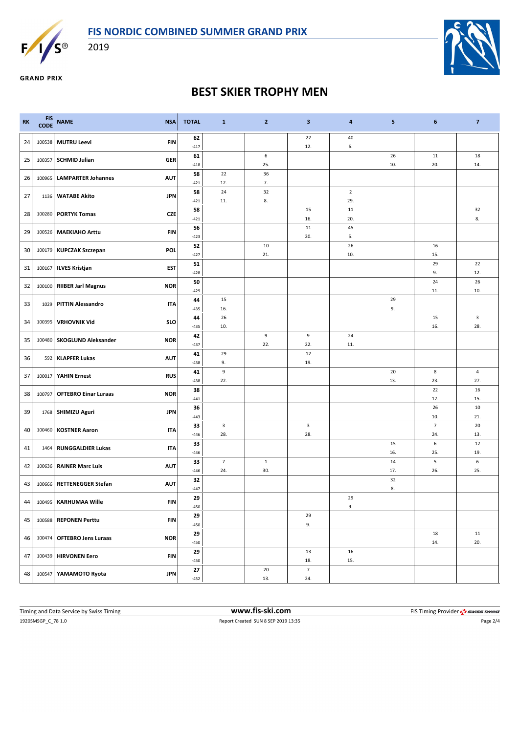

2019



**GRAND PRIX** 

## **BEST SKIER TROPHY MEN**

| <b>RK</b> | <b>FIS</b> | CODE NAME<br><b>NSA</b>                   | <b>TOTAL</b> | $\mathbf{1}$          | $\mathbf{2}$        | 3                     | 4              | 5         | 6                     | $\overline{7}$ |
|-----------|------------|-------------------------------------------|--------------|-----------------------|---------------------|-----------------------|----------------|-----------|-----------------------|----------------|
| 24        | 100538     | <b>MUTRU Leevi</b><br>FIN                 | 62<br>$-417$ |                       |                     | 22<br>12.             | 40<br>6.       |           |                       |                |
| 25        | 100357     | <b>SCHMID Julian</b><br><b>GER</b>        | 61<br>$-418$ |                       | 6<br>25.            |                       |                | 26<br>10. | 11<br>20.             | 18<br>14.      |
| 26        | 100965     | <b>LAMPARTER Johannes</b><br><b>AUT</b>   | 58<br>$-421$ | 22<br>12.             | 36<br>7.            |                       |                |           |                       |                |
| 27        |            | <b>JPN</b><br>1136 WATABE Akito           | 58           | 24                    | 32                  |                       | $\overline{2}$ |           |                       |                |
| 28        | 100280     | <b>PORTYK Tomas</b><br>CZE                | $-421$<br>58 | 11.                   | 8.                  | 15                    | 29.<br>11      |           |                       | 32             |
| 29        | 100526     | <b>MAEKIAHO Arttu</b><br><b>FIN</b>       | $-421$<br>56 |                       |                     | 16.<br>11             | 20.<br>45      |           |                       | 8.             |
|           |            |                                           | $-423$<br>52 |                       | 10                  | 20.                   | 5.<br>26       |           | 16                    |                |
| 30        |            | 100179 KUPCZAK Szczepan<br><b>POL</b>     | $-427$<br>51 |                       | 21.                 |                       | 10.            |           | 15.<br>29             | 22             |
| 31        | 100167     | <b>ILVES Kristjan</b><br>EST              | $-428$       |                       |                     |                       |                |           | 9.                    | 12.            |
| 32        | 100100     | <b>RIIBER Jarl Magnus</b><br><b>NOR</b>   | 50<br>$-429$ |                       |                     |                       |                |           | 24<br>11.             | 26<br>10.      |
| 33        | 1029       | <b>PITTIN Alessandro</b><br><b>ITA</b>    | 44<br>$-435$ | 15<br>16.             |                     |                       |                | 29<br>9.  |                       |                |
| 34        | 100395     | <b>VRHOVNIK Vid</b><br><b>SLO</b>         | 44<br>$-435$ | 26<br>10.             |                     |                       |                |           | 15<br>16.             | 3<br>28.       |
| 35        | 100480     | <b>NOR</b><br><b>SKOGLUND Aleksander</b>  | 42<br>$-437$ |                       | 9<br>22.            | 9<br>22.              | 24<br>11.      |           |                       |                |
| 36        | 592        | <b>AUT</b><br><b>KLAPFER Lukas</b>        | 41           | 29<br>9.              |                     | 12<br>19.             |                |           |                       |                |
| 37        | 100017     | <b>YAHIN Ernest</b><br><b>RUS</b>         | $-438$<br>41 | $\mathsf g$           |                     |                       |                | 20        | 8                     | 4              |
| 38        | 100797     | <b>OFTEBRO Einar Luraas</b><br><b>NOR</b> | $-438$<br>38 | 22.                   |                     |                       |                | 13.       | 23.<br>22             | 27.<br>16      |
|           |            | <b>JPN</b>                                | $-441$<br>36 |                       |                     |                       |                |           | 12.<br>26             | 15.<br>10      |
| 39        |            | 1768 SHIMIZU Aguri                        | $-443$<br>33 | $\mathbf{3}$          |                     | $\mathbf{3}$          |                |           | 10.<br>$\overline{7}$ | 21.<br>20      |
| 40        | 100460     | <b>KOSTNER Aaron</b><br><b>ITA</b>        | $-446$<br>33 | 28.                   |                     | 28.                   |                | 15        | 24.<br>6              | 13.<br>12      |
| 41        | 1464       | <b>RUNGGALDIER Lukas</b><br><b>ITA</b>    | $-446$       |                       |                     |                       |                | 16.       | 25.                   | 19.            |
| 42        | 100636     | <b>RAINER Marc Luis</b><br><b>AUT</b>     | 33<br>$-446$ | $\overline{7}$<br>24. | $\mathbf{1}$<br>30. |                       |                | 14<br>17. | 5<br>26.              | $\sf 6$<br>25. |
| 43        | 100666     | <b>AUT</b><br><b>RETTENEGGER Stefan</b>   | 32<br>$-447$ |                       |                     |                       |                | 32<br>8.  |                       |                |
| 44        |            | 100495 KARHUMAA Wille<br><b>FIN</b>       | 29<br>$-450$ |                       |                     |                       | 29<br>9.       |           |                       |                |
| 45        | 100588     | <b>FIN</b><br><b>REPONEN Perttu</b>       | 29<br>$-450$ |                       |                     | 29<br>9.              |                |           |                       |                |
| 46        | 100474     | <b>OFTEBRO Jens Luraas</b><br><b>NOR</b>  | 29           |                       |                     |                       |                |           | 18                    | 11             |
| 47        | 100439     | <b>HIRVONEN Eero</b><br><b>FIN</b>        | $-450$<br>29 |                       |                     | 13                    | 16             |           | 14.                   | 20.            |
|           |            |                                           | $-450$<br>27 |                       | 20                  | 18.<br>$\overline{7}$ | 15.            |           |                       |                |
| 48        | 100547     | <b>JPN</b><br>YAMAMOTO Ryota              | $-452$       |                       | 13.                 | 24.                   |                |           |                       |                |

| Timing and Data Service by Swiss Timing | www.fis-ski.com                     | FIS Timing Provider <b>47 SWISS TIMING</b> |
|-----------------------------------------|-------------------------------------|--------------------------------------------|
| 1920SMSGP C 78 1.0                      | Report Created SUN 8 SEP 2019 13:35 | Page 2/4                                   |
|                                         |                                     |                                            |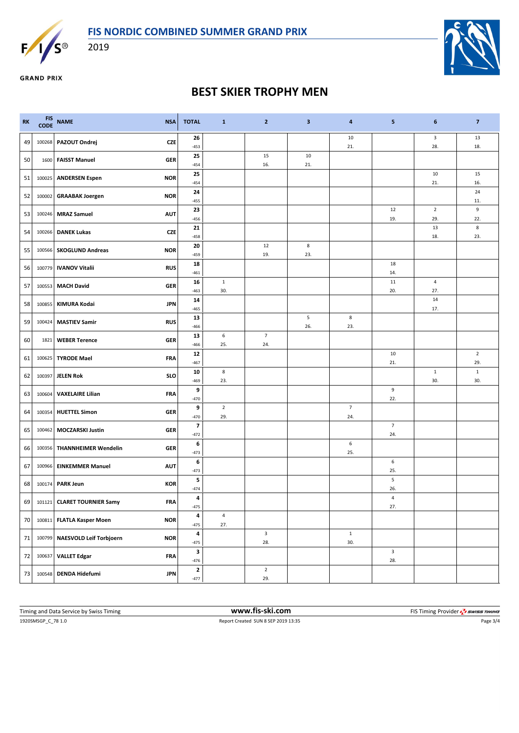

2019



**GRAND PRIX** 

## **BEST SKIER TROPHY MEN**

| <b>RK</b> | FIS<br>CODE | <b>NAME</b><br><b>NSA</b>                   | <b>TOTAL</b>                      | $\mathbf{1}$          | $\mathbf{2}$          | 3         | 4                     | 5                              | 6                     | $\overline{7}$      |
|-----------|-------------|---------------------------------------------|-----------------------------------|-----------------------|-----------------------|-----------|-----------------------|--------------------------------|-----------------------|---------------------|
| 49        | 100268      | PAZOUT Ondrej<br><b>CZE</b>                 | 26<br>$-453$                      |                       |                       |           | 10<br>21.             |                                | 3<br>28.              | 13<br>18.           |
| 50        | 1600        | <b>FAISST Manuel</b><br><b>GER</b>          | 25<br>$-454$                      |                       | 15<br>16.             | 10<br>21. |                       |                                |                       |                     |
| 51        | 100025      | <b>ANDERSEN Espen</b><br><b>NOR</b>         | 25<br>$-454$                      |                       |                       |           |                       |                                | 10<br>21.             | 15<br>16.           |
| 52        | 100002      | <b>NOR</b><br><b>GRAABAK Joergen</b>        | 24<br>$-455$                      |                       |                       |           |                       |                                |                       | 24<br>11.           |
| 53        | 100246      | <b>MRAZ Samuel</b><br><b>AUT</b>            | 23<br>$-456$                      |                       |                       |           |                       | 12<br>19.                      | $\overline{2}$<br>29. | 9<br>22.            |
| 54        | 100266      | <b>DANEK Lukas</b><br>CZE                   | 21<br>$-458$                      |                       |                       |           |                       |                                | 13<br>18.             | 8<br>23.            |
| 55        |             | <b>NOR</b><br>100566 SKOGLUND Andreas       | 20<br>-459                        |                       | 12<br>19.             | 8<br>23.  |                       |                                |                       |                     |
| 56        |             | 100779   IVANOV Vitalii<br><b>RUS</b>       | 18<br>$-461$                      |                       |                       |           |                       | 18<br>14.                      |                       |                     |
| 57        | 100553      | <b>MACH David</b><br><b>GER</b>             | 16<br>$-463$                      | $\mathbf{1}$<br>30.   |                       |           |                       | 11<br>20.                      | $\overline{a}$<br>27. |                     |
| 58        | 100855      | KIMURA Kodai<br><b>JPN</b>                  | 14<br>$-465$                      |                       |                       |           |                       |                                | 14<br>17.             |                     |
| 59        | 100424      | <b>MASTIEV Samir</b><br><b>RUS</b>          | 13<br>$-466$                      |                       |                       | 5<br>26.  | 8<br>23.              |                                |                       |                     |
| 60        | 1821        | <b>WEBER Terence</b><br><b>GER</b>          | 13<br>$-466$                      | $\,$ 6<br>25.         | $\overline{7}$<br>24. |           |                       |                                |                       |                     |
| 61        | 100625      | <b>TYRODE Mael</b><br><b>FRA</b>            | 12<br>$-467$                      |                       |                       |           |                       | 10<br>21.                      |                       | $\mathbf 2$<br>29.  |
| 62        | 100397      | <b>SLO</b><br><b>JELEN Rok</b>              | 10<br>$-469$                      | $\bf8$<br>23.         |                       |           |                       |                                | $\mathbf{1}$<br>30.   | $\mathbf{1}$<br>30. |
| 63        | 100604      | <b>VAXELAIRE Lilian</b><br><b>FRA</b>       | 9<br>$-470$                       |                       |                       |           |                       | 9<br>22.                       |                       |                     |
| 64        | 100354      | <b>GER</b><br><b>HUETTEL Simon</b>          | 9<br>$-470$                       | $\overline{2}$<br>29. |                       |           | $\overline{7}$<br>24. |                                |                       |                     |
| 65        | 100462      | <b>MOCZARSKI Justin</b><br><b>GER</b>       | $\overline{\mathbf{z}}$<br>$-472$ |                       |                       |           |                       | $\overline{7}$<br>24.          |                       |                     |
| 66        |             | <b>GER</b><br>100356   THANNHEIMER Wendelin | 6<br>$-473$                       |                       |                       |           | 6<br>25.              |                                |                       |                     |
| 67        | 100966      | <b>AUT</b><br><b>EINKEMMER Manuel</b>       | 6<br>$-473$                       |                       |                       |           |                       | 6<br>25.                       |                       |                     |
| 68        |             | 100174 PARK Jeun<br><b>KOR</b>              | 5<br>$-474$                       |                       |                       |           |                       | $\sqrt{5}$<br>26.              |                       |                     |
| 69        |             | <b>FRA</b><br>101121 CLARET TOURNIER Samy   | 4<br>$-475$                       |                       |                       |           |                       | 4<br>27.                       |                       |                     |
| 70        | 100811      | <b>FLATLA Kasper Moen</b><br><b>NOR</b>     | 4<br>$-475$                       | $\sqrt{4}$<br>27.     |                       |           |                       |                                |                       |                     |
| 71        | 100799      | NAESVOLD Leif Torbjoern<br><b>NOR</b>       | 4<br>$-475$                       |                       | $\mathsf 3$<br>28.    |           | $\mathbf 1$<br>30.    |                                |                       |                     |
| 72        | 100637      | <b>VALLET Edgar</b><br><b>FRA</b>           | $\mathbf 3$<br>$-476$             |                       |                       |           |                       | $\overline{\mathbf{3}}$<br>28. |                       |                     |
| 73        | 100548      | <b>DENDA Hidefumi</b><br><b>JPN</b>         | $\mathbf 2$<br>$-477$             |                       | $\mathbf 2$<br>29.    |           |                       |                                |                       |                     |

1920SMSGP\_C\_78 1.0 Report Created SUN 8 SEP 2019 13:35 Page 3/4 Timing and Data Service by Swiss Timing **www.fis-ski.com www.fis-ski.com** FIS Timing Provider  $\frac{7}{2}$  SWISS TIMING